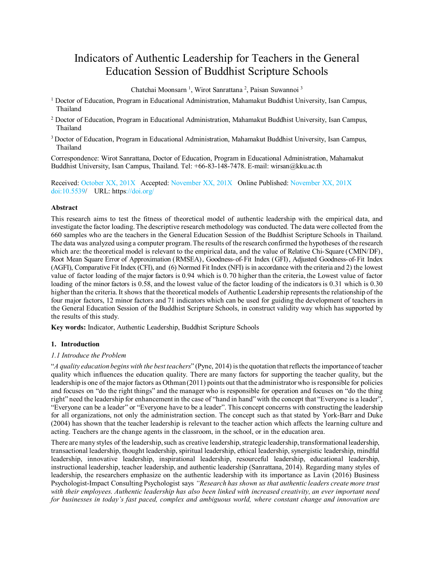# Indicators of Authentic Leadership for Teachers in the General Education Session of Buddhist Scripture Schools

Chatchai Moonsarn<sup>1</sup>, Wirot Sanrattana<sup>2</sup>, Paisan Suwannoi<sup>3</sup>

- <sup>1</sup> Doctor of Education, Program in Educational Administration, Mahamakut Buddhist University, Isan Campus, Thailand
- <sup>2</sup> Doctor of Education, Program in Educational Administration, Mahamakut Buddhist University, Isan Campus, Thailand
- <sup>3</sup>Doctor of Education, Program in Educational Administration, Mahamakut Buddhist University, Isan Campus, Thailand

Correspondence: Wirot Sanrattana, Doctor of Education, Program in Educational Administration, Mahamakut Buddhist University, Isan Campus, Thailand. Tel: +66-83-148-7478. E-mail: wirsan@kku.ac.th

Received: October XX, 201X Accepted: November XX, 201X Online Published: November XX, 201X doi:10.5539/ URL: https://doi.org/

## **Abstract**

This research aims to test the fitness of theoretical model of authentic leadership with the empirical data, and investigate the factor loading. The descriptive research methodology was conducted. The data were collected from the 660 samples who are the teachers in the General Education Session of the Buddhist Scripture Schools in Thailand. The data was analyzed using a computer program. The results of the research confirmed the hypotheses of the research which are: the theoretical model is relevant to the empirical data, and the value of Relative Chi-Square (CMIN/DF), Root Mean Square Error of Approximation (RMSEA), Goodness-of-Fit Index (GFI), Adjusted Goodness-of-Fit Index (AGFI), Comparative Fit Index (CFI), and (6) Normed Fit Index (NFI) is in accordance with the criteria and 2) the lowest value of factor loading of the major factors is 0.94 which is 0. 70 higher than the criteria, the Lowest value of factor loading of the minor factors is 0.58, and the lowest value of the factor loading of the indicators is 0.31 which is 0.30 higher than the criteria. It shows that the theoretical models of Authentic Leadership represents the relationship of the four major factors, 12 minor factors and 71 indicators which can be used for guiding the development of teachers in the General Education Session of the Buddhist Scripture Schools, in construct validity way which has supported by the results of this study.

**Key words:** Indicator, Authentic Leadership, Buddhist Scripture Schools

## **1. Introduction**

## *1.1 Introduce the Problem*

"*A quality education begins with the best teachers*" (Pyne, 2014) is the quotation that reflects the importance of teacher quality which influences the education quality. There are many factors for supporting the teacher quality, but the leadership is one of the major factors as Othman (2011) points out that the administratorwho is responsible for policies and focuses on "do the right things" and the manager who is responsible for operation and focuses on "do the thing right" need the leadership for enhancement in the case of "hand in hand" with the concept that "Everyone is a leader", "Everyone can be a leader" or "Everyone have to be a leader". This concept concerns with constructing the leadership for all organizations, not only the administration section. The concept such as that stated by York-Barr and Duke (2004) has shown that the teacher leadership is relevant to the teacher action which affects the learning culture and acting. Teachers are the change agents in the classroom, in the school, or in the education area.

There are many styles of the leadership, such as creative leadership, strategic leadership, transformational leadership, transactional leadership, thought leadership, spiritual leadership, ethical leadership, synergistic leadership, mindful leadership, innovative leadership, inspirational leadership, resourceful leadership, educational leadership, instructional leadership, teacher leadership, and authentic leadership (Sanrattana, 2014). Regarding many styles of leadership, the researchers emphasize on the authentic leadership with its importance as Lavin (2016) Business Psychologist-Impact Consulting Psychologist says *"Research has shown us that authentic leaders create more trust with their employees. Authentic leadership has also been linked with increased creativity, an ever important need for businesses in today's fast paced, complex and ambiguous world, where constant change and innovation are*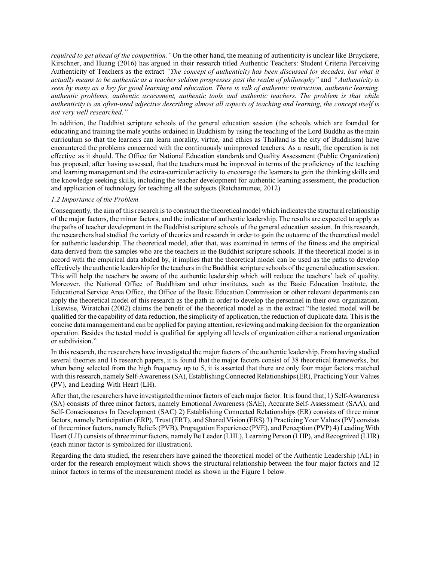*required to get ahead of the competition."* On the other hand, the meaning of authenticity is unclear like Bruyckere, Kirschner, and Huang (2016) has argued in their research titled Authentic Teachers: Student Criteria Perceiving Authenticity of Teachers as the extract *"The concept of authenticity has been discussed for decades, but what it actually means to be authentic as a teacher seldom progresses past the realm of philosophy"* and *"Authenticity is seen by many as a key for good learning and education. There is talk of authentic instruction, authentic learning, authentic problems, authentic assessment, authentic tools and authentic teachers. The problem is that while authenticity is an often-used adjective describing almost all aspects of teaching and learning, the concept itself is not very well researched."*

In addition, the Buddhist scripture schools of the general education session (the schools which are founded for educating and training the male youths ordained in Buddhism by using the teaching of the Lord Buddha as the main curriculum so that the learners can learn morality, virtue, and ethics as Thailand is the city of Buddhism) have encountered the problems concerned with the continuously unimproved teachers. As a result, the operation is not effective as it should. The Office for National Education standards and Quality Assessment (Public Organization) has proposed, after having assessed, that the teachers must be improved in terms of the proficiency of the teaching and learning management and the extra-curricular activity to encourage the learners to gain the thinking skills and the knowledge seeking skills, including the teacher development for authentic learning assessment, the production and application of technology for teaching all the subjects (Ratchamunee, 2012)

#### *1.2 Importance of the Problem*

Consequently, the aim of this research is to construct the theoretical model which indicates the structural relationship of the major factors, the minor factors, and the indicator of authentic leadership. The results are expected to apply as the paths of teacher development in the Buddhist scripture schools of the general education session. In this research, the researchers had studied the variety of theories and research in order to gain the outcome of the theoretical model for authentic leadership. The theoretical model, after that, was examined in terms of the fitness and the empirical data derived from the samples who are the teachers in the Buddhist scripture schools. If the theoretical model is in accord with the empirical data abided by, it implies that the theoretical model can be used as the paths to develop effectively the authentic leadership for the teachers in the Buddhist scripture schools of the general education session. This will help the teachers be aware of the authentic leadership which will reduce the teachers' lack of quality. Moreover, the National Office of Buddhism and other institutes, such as the Basic Education Institute, the Educational Service Area Office, the Office of the Basic Education Commission or other relevant departments can apply the theoretical model of this research as the path in order to develop the personnel in their own organization. Likewise, Wiratchai (2002) claims the benefit of the theoretical model as in the extract "the tested model will be qualified for the capability of data reduction, the simplicity of application, the reduction of duplicate data. This is the concise datamanagement and can be applied for paying attention, reviewing and making decision for the organization operation. Besides the tested model is qualified for applying all levels of organization either a national organization or subdivision."

In this research, the researchers have investigated the major factors of the authentic leadership. From having studied several theories and 16 research papers, it is found that the major factors consist of 38 theoretical frameworks, but when being selected from the high frequency up to 5, it is asserted that there are only four major factors matched with this research, namely Self-Awareness (SA), Establishing Connected Relationships (ER), Practicing Your Values (PV), and Leading With Heart (LH).

After that, the researchers have investigated the minor factors of each major factor. It is found that; 1) Self-Awareness (SA) consists of three minor factors, namely Emotional Awareness (SAE), Accurate Self-Assessment (SAA), and Self-Consciousness In Development (SAC) 2) Establishing Connected Relationships (ER) consists of three minor factors, namely Participation (ERP), Trust (ERT), and Shared Vision (ERS) 3) Practicing Your Values (PV) consists of three minor factors, namely Beliefs (PVB), Propagation Experience (PVE), and Perception (PVP) 4) Leading With Heart (LH) consists of three minor factors, namely Be Leader (LHL), Learning Person (LHP), and Recognized (LHR) (each minor factor is symbolized for illustration).

Regarding the data studied, the researchers have gained the theoretical model of the Authentic Leadership (AL) in order for the research employment which shows the structural relationship between the four major factors and 12 minor factors in terms of the measurement model as shown in the Figure 1 below.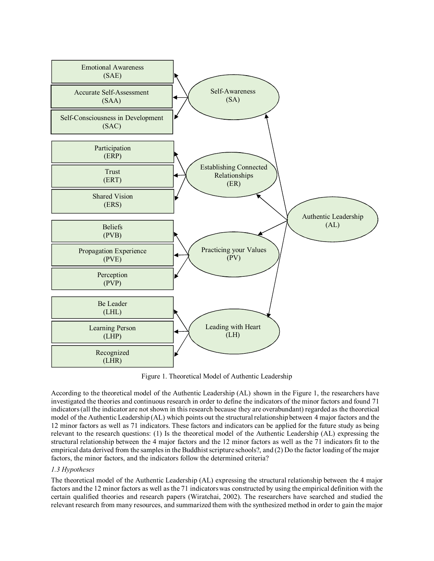

Figure 1. Theoretical Model of Authentic Leadership

According to the theoretical model of the Authentic Leadership (AL) shown in the Figure 1, the researchers have investigated the theories and continuous research in order to define the indicators of the minor factors and found 71 indicators (all the indicator are not shown in this research because they are overabundant) regarded as the theoretical model of the Authentic Leadership (AL) which points out the structural relationship between 4 major factors and the 12 minor factors as well as 71 indicators. These factors and indicators can be applied for the future study as being relevant to the research questions: (1) Is the theoretical model of the Authentic Leadership (AL) expressing the structural relationship between the 4 major factors and the 12 minor factors as well as the 71 indicators fit to the empirical data derived from the samples in the Buddhist scripture schools?, and (2) Do the factor loading of the major factors, the minor factors, and the indicators follow the determined criteria?

## *1.3 Hypotheses*

The theoretical model of the Authentic Leadership (AL) expressing the structural relationship between the 4 major factors and the 12 minor factors as well as the 71 indicatorswas constructed by using the empirical definition with the certain qualified theories and research papers (Wiratchai, 2002). The researchers have searched and studied the relevant research from many resources, and summarized them with the synthesized method in order to gain the major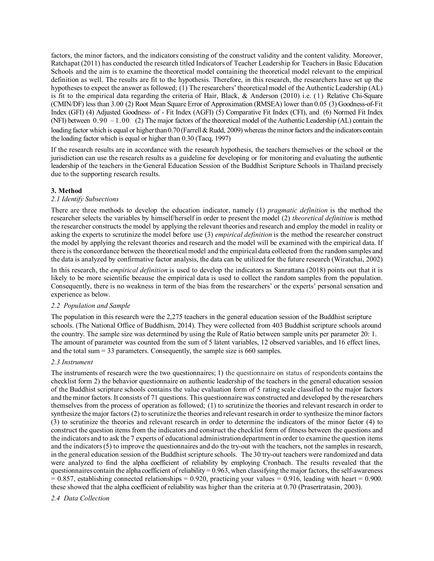factors, the minor factors, and the indicators consisting of the construct validity and the content validity. Moreover, Ratchapat (2011) has conducted the research titled Indicators of Teacher Leadership for Teachers in Basic Education Schools and the aim is to examine the theoretical model containing the theoretical model relevant to the empirical definition as well. The results are fit to the hypothesis. Therefore, in this research, the researchers have set up the hypotheses to expect the answer as followed; (1) The researchers' theoretical model of the Authentic Leadership (AL) is fit to the empirical data regarding the criteria of Hair, Black, & Anderson (2010) i.e. (1) Relative Chi-Square (CMIN/DF) less than 3.00 (2) Root Mean Square Error of Approximation (RMSEA) lower than 0.05 (3) Goodness-of-Fit Index (GFI) (4) Adjusted Goodness- of - Fit Index (AGFI) (5) Comparative Fit Index (CFI), and (6) Normed Fit Index (NFI) between  $0.90 - 1.00$ . (2) The major factors of the theoretical model of the Authentic Leadership (AL) contain the loading factor which is equal or higher than 0.70 (Farrell & Rudd, 2009) whereas the minor factors and the indicators contain the loading factor which is equal or higher than 0.30 (Tacq, 1997)

If the research results are in accordance with the research hypothesis, the teachers themselves or the school or the jurisdiction can use the research results as a guideline for developing or for monitoring and evaluating the authentic leadership of the teachers in the General Education Session of the Buddhist Scripture Schools in Thailand precisely due to the supporting research results.

## **3. Method**

## *2.1 Identify Subsections*

There are three methods to develop the education indicator, namely (1) *pragmatic definition* is the method the researcher selects the variables by himself/herself in order to present the model (2) *theoretical definition* is method the researcher constructs the model by applying the relevant theories and research and employ the model in reality or asking the experts to scrutinize the model before use (3) *empirical definition* is the method the researcher construct the model by applying the relevant theories and research and the model will be examined with the empirical data. If there is the concordance between the theoretical model and the empirical data collected from the random samples and the data is analyzed by confirmative factor analysis, the data can be utilized for the future research (Wiratchai, 2002)

In this research, the *empirical definition* is used to develop the indicators as Sanrattana (2018) points out that it is likely to be more scientific because the empirical data is used to collect the random samples from the population. Consequently, there is no weakness in term of the bias from the researchers' or the experts' personal sensation and experience as below.

## *2.2 Population and Sample*

The population in this research were the 2,275 teachers in the general education session of the Buddhist scripture schools. (The National Office of Buddhism, 2014). They were collected from 403 Buddhist scripture schools around the country. The sample size was determined by using the Rule of Ratio between sample units per parameter 20: 1. The amount of parameter was counted from the sum of 5 latent variables, 12 observed variables, and 16 effect lines, and the total sum  $= 33$  parameters. Consequently, the sample size is 660 samples.

## *2.3 Instrument*

The instruments of research were the two questionnaires; 1) the questionnaire on status of respondents contains the checklist form 2) the behavior questionnaire on authentic leadership of the teachers in the general education session of the Buddhist scripture schools contains the value evaluation form of 5 rating scale classified to the major factors and the minor factors. It consists of 71 questions. This questionnaire was constructed and developed by the researchers themselves from the process of operation as followed; (1) to scrutinize the theories and relevant research in order to synthesize the major factors (2) to scrutinize the theories and relevant research in order to synthesize the minor factors (3) to scrutinize the theories and relevant research in order to determine the indicators of the minor factor (4) to construct the question items from the indicators and construct the checklist form of fitness between the questions and the indicators and to ask the 7 experts of educational administration department in order to examine the question items and the indicators(5) to improve the questionnaires and do the try-out with the teachers, not the samples in research, in the general education session of the Buddhist scripture schools. The 30 try-out teachers were randomized and data were analyzed to find the alpha coefficient of reliability by employing Cronbach. The results revealed that the questionnaires contain the alpha coefficient of reliability =  $0.963$ , when classifying the major factors, the self-awareness  $= 0.857$ , establishing connected relationships = 0.920, practicing your values = 0.916, leading with heart = 0.900. these showed that the alpha coefficient of reliability was higher than the criteria at 0.70 (Prasertratasin, 2003).

## *2.4 Data Collection*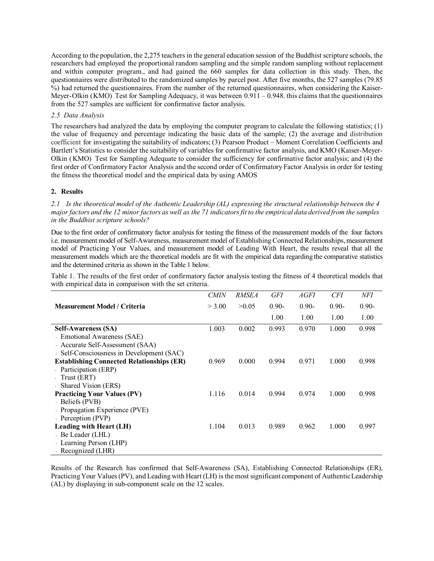According to the population, the 2,275 teachers in the general education session of the Buddhist scripture schools, the researchers had employed the proportional random sampling and the simple random sampling without replacement and within computer program., and had gained the 660 samples for data collection in this study. Then, the questionnaires were distributed to the randomized samples by parcel post. After five months, the 527 samples (79.85 %) had returned the questionnaires. From the number of the returned questionnaires, when considering the Kaiser-Meyer-Olkin (KMO) Test for Sampling Adequacy, it was between 0.911 – 0.948. this claims that the questionnaires from the 527 samples are sufficient for confirmative factor analysis.

#### *2.5 Data Analysis*

The researchers had analyzed the data by employing the computer program to calculate the following statistics; (1) the value of frequency and percentage indicating the basic data of the sample; (2) the average and distribution coefficient for investigating the suitability of indicators; (3) Pearson Product – Moment Correlation Coefficients and Bartlett's Statistics to consider the suitability of variables for confirmative factor analysis, and KMO (Kaiser-Meyer-Olkin (KMO) Test for Sampling Adequate to consider the sufficiency for confirmative factor analysis; and (4) the first order of Confirmatory Factor Analysis and the second order of Confirmatory Factor Analysis in order for testing the fitness the theoretical model and the empirical data by using AMOS

#### **2. Results**

*2.1 Is the theoretical model of the Authentic Leadership (AL) expressing the structural relationship between the 4 major factors and the 12 minor factors as well as the 71 indicators fit to the empirical data derived from the samples in the Buddhist scripture schools?*

Due to the first order of confirmatory factor analysis for testing the fitness of the measurement models of the four factors i.e. measurement model of Self-Awareness, measurement model of Establishing Connected Relationships, measurement model of Practicing Your Values, and measurement model of Leading With Heart, the results reveal that all the measurement models which are the theoretical models are fit with the empirical data regarding the comparative statistics and the determined criteria as shown in the Table 1 below.

Table 1. The results of the first order of confirmatory factor analysis testing the fitness of 4 theoretical models that with empirical data in comparison with the set criteria.

|                                                  | <b>CMIN</b> | <i>RMSEA</i> | <b>GFI</b> | <i>AGFI</i> | <b>CFI</b> | NFI      |
|--------------------------------------------------|-------------|--------------|------------|-------------|------------|----------|
| <b>Measurement Model / Criteria</b>              | > 3.00      | >0.05        | $0.90 -$   | $0.90 -$    | $0.90 -$   | $0.90 -$ |
|                                                  |             |              | 1.00       | 1.00        | 1.00       | 1.00     |
| <b>Self-Awareness (SA)</b>                       | 1.003       | 0.002        | 0.993      | 0.970       | 1.000      | 0.998    |
| - Emotional Awareness (SAE)                      |             |              |            |             |            |          |
| - Accurate Self-Assessment (SAA)                 |             |              |            |             |            |          |
| - Self-Consciousness in Development (SAC)        |             |              |            |             |            |          |
| <b>Establishing Connected Relationships (ER)</b> | 0.969       | 0.000        | 0.994      | 0.971       | 1.000      | 0.998    |
| - Participation (ERP)                            |             |              |            |             |            |          |
| - Trust (ERT)                                    |             |              |            |             |            |          |
| - Shared Vision (ERS)                            |             |              |            |             |            |          |
| <b>Practicing Your Values (PV)</b>               | 1.116       | 0.014        | 0.994      | 0.974       | 1.000      | 0.998    |
| - Beliefs (PVB)                                  |             |              |            |             |            |          |
| - Propagation Experience (PVE)                   |             |              |            |             |            |          |
| - Perception (PVP)                               |             |              |            |             |            |          |
| Leading with Heart (LH)                          | 1.104       | 0.013        | 0.989      | 0.962       | 1.000      | 0.997    |
| - Be Leader (LHL)                                |             |              |            |             |            |          |
| - Learning Person (LHP)                          |             |              |            |             |            |          |
| - Recognized (LHR)                               |             |              |            |             |            |          |

Results of the Research has confirmed that Self-Awareness (SA), Establishing Connected Relationships (ER), Practicing Your Values (PV), and Leading with Heart (LH) is the most significant component of Authentic Leadership (AL) by displaying in sub-component scale on the 12 scales.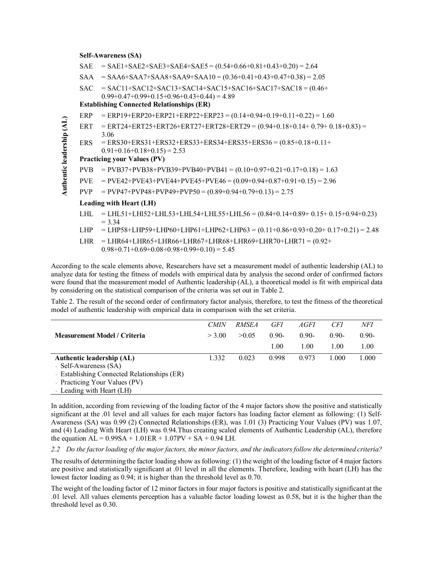#### **Self-Awareness (SA)**

|                           | SAE                                              | $=$ SAE1+SAE2+SAE3+SAE4+SAE5 = (0.54+0.66+0.81+0.43+0.20) = 2.64                                            |  |  |  |  |  |
|---------------------------|--------------------------------------------------|-------------------------------------------------------------------------------------------------------------|--|--|--|--|--|
|                           | SAA                                              | $= SAA6+SAA7+SAA8+SAA9+SAA10 = (0.36+0.41+0.43+0.47+0.38) = 2.05$                                           |  |  |  |  |  |
|                           | SAC-                                             | $= SAC11+SAC12+SAC13+SAC14+SAC15+SAC16+SAC17+SAC18 = (0.46+$                                                |  |  |  |  |  |
|                           |                                                  | $0.99+0.47+0.99+0.15+0.96+0.43+0.44 = 4.89$                                                                 |  |  |  |  |  |
|                           | <b>Establishing Connected Relationships (ER)</b> |                                                                                                             |  |  |  |  |  |
|                           | ERP                                              | $=$ ERP19+ERP20+ERP21+ERP22+ERP23 = (0.14+0.94+0.19+0.11+0.22) = 1.60                                       |  |  |  |  |  |
|                           |                                                  | ERT = ERT24+ERT25+ERT26+ERT27+ERT28+ERT29 = $(0.94+0.18+0.14+0.79+0.18+0.83)$ =<br>3.06                     |  |  |  |  |  |
|                           | ERS.                                             | $=$ ERS30+ERS31+ERS32+ERS33+ERS34+ERS35+ERS36 = $(0.85+0.18+0.11+$<br>$0.91+0.16+0.18+0.15 = 2.53$          |  |  |  |  |  |
| Authentic leadership (AL) | <b>Practicing your Values (PV)</b>               |                                                                                                             |  |  |  |  |  |
|                           | PVB                                              | $=$ PVB37+PVB38+PVB39+PVB40+PVB41 = (0.10+0.97+0.21+0.17+0.18) = 1.63                                       |  |  |  |  |  |
|                           | <b>PVE</b>                                       | $=$ PVE42+PVE43+PVE44+PVE45+PVE46 = (0.09+0.94+0.87+0.91+0.15) = 2.96                                       |  |  |  |  |  |
|                           | PVP                                              | $=$ PVP47+PVP48+PVP49+PVP50 = (0.89+0.94+0.79+0.13) = 2.75                                                  |  |  |  |  |  |
|                           |                                                  | Leading with Heart (LH)                                                                                     |  |  |  |  |  |
|                           | LHL                                              | $= LHL51+ LHI52+ LHL53+ LHL54+ LHL55+ LHL56 = (0.84+0.14+0.89+ 0.15+ 0.15+0.94+0.23)$<br>$= 3.34$           |  |  |  |  |  |
|                           | LHP -                                            | $=$ LHP58+LHP59+LHP60+LHP61+LHP62+LHP63 = (0.11+0.86+0.93+0.20+ 0.17+0.21) = 2.48                           |  |  |  |  |  |
|                           | <b>LHR</b>                                       | $=$ LHR64+LHR65+LHR66+LHR67+LHR68+LHR69+LHR70+LHR71 = (0.92+<br>$0.98+0.71+0.69+0.08+0.98+0.99+0.10 = 5.45$ |  |  |  |  |  |

According to the scale elements above, Researchers have set a measurement model of authentic leadership (AL) to analyze data for testing the fitness of models with empirical data by analysis the second order of confirmed factors were found that the measurement model of Authentic leadership (AL), a theoretical model is fit with empirical data by considering on the statistical comparison of the criteria was set out in Table 2.

Table 2. The result of the second order of confirmatory factor analysis, therefore, to test the fitness of the theoretical model of authentic leadership with empirical data in comparison with the set criteria.

|                                             | <b>CMIN</b> | <i>RMSEA</i> | GFI      | AGFI     | CF1      | NFI     |
|---------------------------------------------|-------------|--------------|----------|----------|----------|---------|
| <b>Measurement Model / Criteria</b>         | > 3.00      | >0.05        | $0.90 -$ | $0.90 -$ | $0.90 -$ | $0.90-$ |
|                                             |             |              | 1.00     | LOO.     | 1.00     | 1.00    |
| <b>Authentic leadership (AL)</b>            | 1.332       | 0.023        | 0.998    | 0.973    | 1 000    | .000    |
| - Self-Awareness (SA)                       |             |              |          |          |          |         |
| - Establishing Connected Relationships (ER) |             |              |          |          |          |         |

- Practicing Your Values (PV) - Leading with Heart (LH)

In addition, according from reviewing of the loading factor of the 4 major factors show the positive and statistically significant at the .01 level and all values for each major factors has loading factor element as following: (1) Self-Awareness (SA) was 0.99 (2) Connected Relationships (ER), was 1.01 (3) Practicing Your Values (PV) was 1.07, and (4) Leading With Heart (LH) was 0.94.Thus creating scaled elements of Authentic Leadership (AL), therefore the equation  $AL = 0.99SA + 1.01ER + 1.07PV + SA + 0.94 LH$ .

*2.2 Do the factor loading of the major factors, the minor factors, and the indicators follow the determined criteria?*

The results of determining the factor loading show as following: (1) the weight of the loading factor of 4 major factors are positive and statistically significant at .01 level in all the elements. Therefore, leading with heart (LH) has the lowest factor loading as 0.94; it is higher than the threshold level as 0.70.

The weight of the loading factor of 12 minor factors in four major factors is positive and statistically significant at the .01 level. All values elements perception has a valuable factor loading lowest as 0.58, but it is the higher than the threshold level as 0.30.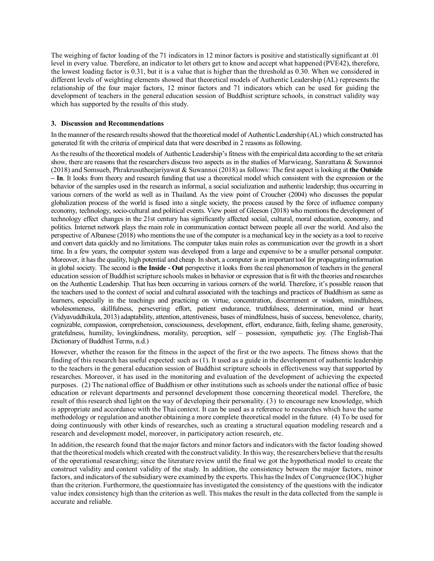The weighing of factor loading of the 71 indicatorsin 12 minor factors is positive and statistically significant at .01 level in every value. Therefore, an indicator to let others get to know and accept what happened (PVE42), therefore, the lowest loading factor is 0.31, but it is a value that is higher than the threshold as 0.30. When we considered in different levels of weighting elements showed that theoretical models of Authentic Leadership (AL) represents the relationship of the four major factors, 12 minor factors and 71 indicators which can be used for guiding the development of teachers in the general education session of Buddhist scripture schools, in construct validity way which has supported by the results of this study.

#### **3. Discussion and Recommendations**

In the manner of the research results showed that the theoretical model of Authentic Leadership (AL) which constructed has generated fit with the criteria of empirical data that were described in 2 reasons as following.

As the results of the theoretical models of Authentic Leadership's fitness with the empirical data according to the set criteria show, there are reasons that the researchers discuss two aspects as in the studies of Marwieang, Sanrattana & Suwannoi (2018) and Somsueb, Phrakrusutheejariyawat & Suwannoi (2018) as follows: The first aspect is looking at **the Outside – In**. It looks from theory and research funding that use a theoretical model which consistent with the expression or the behavior of the samples used in the research as informal, a social socialization and authentic leadership; thus occurring in various corners of the world as well as in Thailand. As the view point of Croucher (2004) who discusses the popular globalization process of the world is fused into a single society, the process caused by the force of influence company economy, technology, socio-cultural and political events. View point of Gleeson (2018) who mentions the development of technology effect changes in the 21st century has significantly affected social, cultural, moral education, economy, and politics. Internet network plays the main role in communication contact between people all over the world. And also the perspective of Albanese (2018) who mentions the use of the computer is a mechanical key in the society as a tool to receive and convert data quickly and no limitations. The computer takes main roles as communication over the growth in a short time. In a few years, the computer system was developed from a large and expensive to be a smaller personal computer. Moreover, it has the quality, high potential and cheap. In short, a computer is an important tool for propagating information in global society. The second is **the Inside - Out** perspective it looks from the real phenomenon of teachers in the general education session of Buddhist scripture schools makes in behavior or expression that is fit with the theories and researches on the Authentic Leadership. That has been occurring in various corners of the world. Therefore, it's possible reason that the teachers used to the context of social and cultural associated with the teachings and practices of Buddhism as same as learners, especially in the teachings and practicing on virtue, concentration, discernment or wisdom, mindfulness, wholesomeness, skillfulness, persevering effort, patient endurance, truthfulness, determination, mind or heart (Vidyavuddhikula, 2013) adaptability, attention, attentiveness, bases of mindfulness, basis of success, benevolence, charity, cognizable, compassion, comprehension, consciousness, development, effort, endurance, faith, feeling shame, generosity, gratefulness, humility, lovingkindness, morality, perception, self – possession, sympathetic joy. (The English-Thai Dictionary of Buddhist Terms, n.d.)

However, whether the reason for the fitness in the aspect of the first or the two aspects. The fitness shows that the finding of this research has useful expected: such as (1). It used as a guide in the development of authentic leadership to the teachers in the general education session of Buddhist scripture schools in effectiveness way that supported by researches. Moreover, it has used in the monitoring and evaluation of the development of achieving the expected purposes. (2) The national office of Buddhism or other institutions such as schools under the national office of basic education or relevant departments and personnel development those concerning theoretical model. Therefore, the result of this research shed light on the way of developing their personality. (3) to encourage new knowledge, which is appropriate and accordance with the Thai context. It can be used as a reference to researches which have the same methodology or regulation and another obtaining a more complete theoretical model in the future. (4) To be used for doing continuously with other kinds of researches, such as creating a structural equation modeling research and a research and development model, moreover, in participatory action research, etc.

In addition, the research found that the major factors and minor factors and indicators with the factor loading showed that the theoretical models which created with the construct validity. In this way, the researchers believe that the results of the operational researching; since the literature review until the final we got the hypothetical model to create the construct validity and content validity of the study. In addition, the consistency between the major factors, minor factors, and indicators of the subsidiary were examined by the experts. This has the Index of Congruence (IOC) higher than the criterion. Furthermore, the questionnaire has investigated the consistency of the questions with the indicator value index consistency high than the criterion as well. This makes the result in the data collected from the sample is accurate and reliable.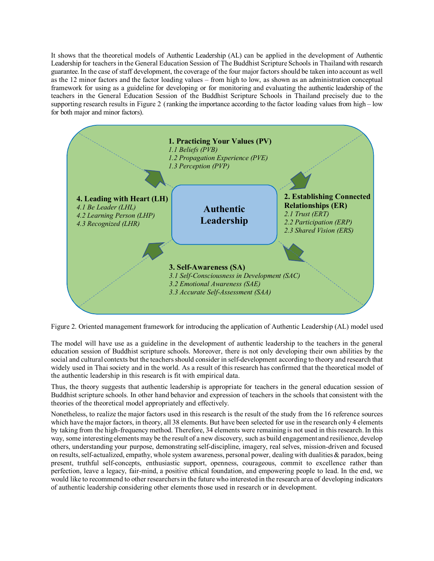It shows that the theoretical models of Authentic Leadership (AL) can be applied in the development of Authentic Leadership for teachers in the General Education Session of The Buddhist Scripture Schools in Thailand with research guarantee.In the case of staff development, the coverage of the four major factors should be taken into account as well as the 12 minor factors and the factor loading values – from high to low, as shown as an administration conceptual framework for using as a guideline for developing or for monitoring and evaluating the authentic leadership of the teachers in the General Education Session of the Buddhist Scripture Schools in Thailand precisely due to the supporting research results in Figure 2 (ranking the importance according to the factor loading values from high – low for both major and minor factors).



Figure 2. Oriented management framework for introducing the application of Authentic Leadership (AL) model used

The model will have use as a guideline in the development of authentic leadership to the teachers in the general education session of Buddhist scripture schools. Moreover, there is not only developing their own abilities by the social and cultural contexts but the teachers should consider in self-development according to theory and research that widely used in Thai society and in the world. As a result of this research has confirmed that the theoretical model of the authentic leadership in this research is fit with empirical data.

Thus, the theory suggests that authentic leadership is appropriate for teachers in the general education session of Buddhist scripture schools. In other hand behavior and expression of teachers in the schools that consistent with the theories of the theoretical model appropriately and effectively.

Nonetheless, to realize the major factors used in this research is the result of the study from the 16 reference sources which have the major factors, in theory, all 38 elements. But have been selected for use in the research only 4 elements by taking from the high-frequency method. Therefore, 34 elements were remaining is not used in this research. In this way, some interesting elements may be the result of a new discovery, such as build engagement and resilience, develop others, understanding your purpose, demonstrating self-discipline, imagery, real selves, mission-driven and focused on results, self-actualized, empathy, whole system awareness, personal power, dealing with dualities  $\&$  paradox, being present, truthful self-concepts, enthusiastic support, openness, courageous, commit to excellence rather than perfection, leave a legacy, fair-mind, a positive ethical foundation, and empowering people to lead. In the end, we would like to recommend to other researchers in the future who interested in the research area of developing indicators of authentic leadership considering other elements those used in research or in development.